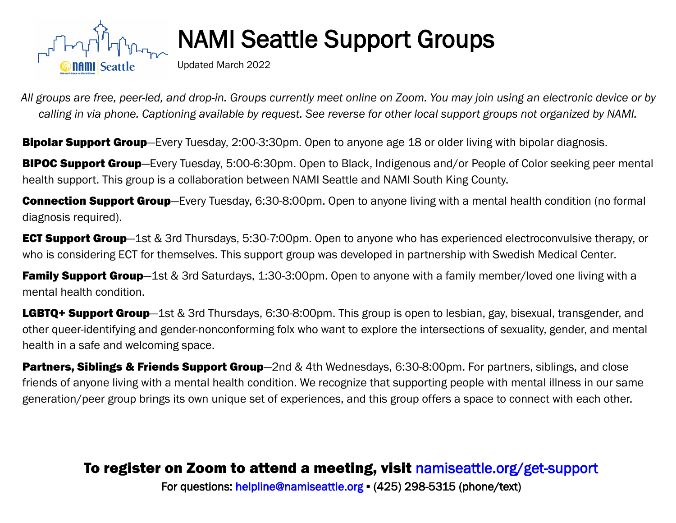

## **NAMI Seattle Support Groups**

Updated March 2022

*All groups are free, peer-led, and drop-in. Groups currently meet online on Zoom. You may join using an electronic device or by calling in via phone. Captioning available by request. See reverse for other local support groups not organized by NAMI.*

**Bipolar Support Group**—Every Tuesday, 2:00-3:30pm. Open to anyone age 18 or older living with bipolar diagnosis.

**BIPOC Support Group**—Every Tuesday, 5:00-6:30pm. Open to Black, Indigenous and/or People of Color seeking peer mental health support. This group is a collaboration between NAMI Seattle and NAMI South King County.

**Connection Support Group**—Every Tuesday, 6:30-8:00pm. Open to anyone living with a mental health condition (no formal diagnosis required).

**ECT Support Group**—1st & 3rd Thursdays, 5:30-7:00pm. Open to anyone who has experienced electroconvulsive therapy, or who is considering ECT for themselves. This support group was developed in partnership with Swedish Medical Center*.* 

Family Support Group-1st & 3rd Saturdays, 1:30-3:00pm. Open to anyone with a family member/loved one living with a mental health condition.

LGBTQ+ Support Group-1st & 3rd Thursdays, 6:30-8:00pm. This group is open to lesbian, gay, bisexual, transgender, and other queer-identifying and gender-nonconforming folx who want to explore the intersections of sexuality, gender, and mental health in a safe and welcoming space.

Partners, Siblings & Friends Support Group–2nd & 4th Wednesdays, 6:30-8:00pm. For partners, siblings, and close friends of anyone living with a mental health condition. We recognize that supporting people with mental illness in our same generation/peer group brings its own unique set of experiences, and this group offers a space to connect with each other.

## To register on Zoom to attend a meeting, visit [namiseattle.org/get-support](http://namiseattle.org/get-support/#support_groups)

For questions: [helpline@namiseattle.org](mailto:info@namiseattle.org) ▪ (425) 298-5315 (phone/text)